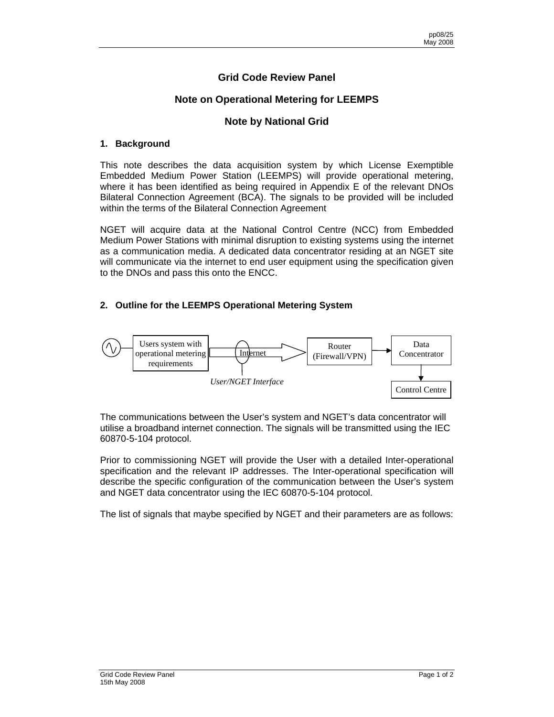# **Grid Code Review Panel**

## **Note on Operational Metering for LEEMPS**

### **Note by National Grid**

#### **1. Background**

This note describes the data acquisition system by which License Exemptible Embedded Medium Power Station (LEEMPS) will provide operational metering, where it has been identified as being required in Appendix E of the relevant DNOs Bilateral Connection Agreement (BCA). The signals to be provided will be included within the terms of the Bilateral Connection Agreement

NGET will acquire data at the National Control Centre (NCC) from Embedded Medium Power Stations with minimal disruption to existing systems using the internet as a communication media. A dedicated data concentrator residing at an NGET site will communicate via the internet to end user equipment using the specification given to the DNOs and pass this onto the ENCC.

#### **2. Outline for the LEEMPS Operational Metering System**



The communications between the User's system and NGET's data concentrator will utilise a broadband internet connection. The signals will be transmitted using the IEC 60870-5-104 protocol.

Prior to commissioning NGET will provide the User with a detailed Inter-operational specification and the relevant IP addresses. The Inter-operational specification will describe the specific configuration of the communication between the User's system and NGET data concentrator using the IEC 60870-5-104 protocol.

The list of signals that maybe specified by NGET and their parameters are as follows: